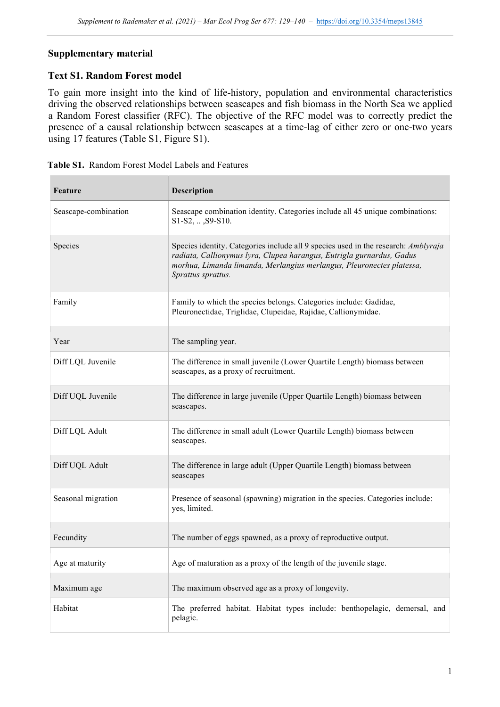## **Supplementary material**

## **Text S1. Random Forest model**

To gain more insight into the kind of life-history, population and environmental characteristics driving the observed relationships between seascapes and fish biomass in the North Sea we applied a Random Forest classifier (RFC). The objective of the RFC model was to correctly predict the presence of a causal relationship between seascapes at a time-lag of either zero or one-two years using 17 features (Table S1, Figure S1).

| <b>Feature</b>       | <b>Description</b>                                                                                                                                                                                                                                         |
|----------------------|------------------------------------------------------------------------------------------------------------------------------------------------------------------------------------------------------------------------------------------------------------|
| Seascape-combination | Seascape combination identity. Categories include all 45 unique combinations:<br>$S1-S2, \ldots$ , $S9-S10$ .                                                                                                                                              |
| Species              | Species identity. Categories include all 9 species used in the research: Amblyraja<br>radiata, Callionymus lyra, Clupea harangus, Eutrigla gurnardus, Gadus<br>morhua, Limanda limanda, Merlangius merlangus, Pleuronectes platessa,<br>Sprattus sprattus. |
| Family               | Family to which the species belongs. Categories include: Gadidae,<br>Pleuronectidae, Triglidae, Clupeidae, Rajidae, Callionymidae.                                                                                                                         |
| Year                 | The sampling year.                                                                                                                                                                                                                                         |
| Diff LQL Juvenile    | The difference in small juvenile (Lower Quartile Length) biomass between<br>seascapes, as a proxy of recruitment.                                                                                                                                          |
| Diff UQL Juvenile    | The difference in large juvenile (Upper Quartile Length) biomass between<br>seascapes.                                                                                                                                                                     |
| Diff LQL Adult       | The difference in small adult (Lower Quartile Length) biomass between<br>seascapes.                                                                                                                                                                        |
| Diff UQL Adult       | The difference in large adult (Upper Quartile Length) biomass between<br>seascapes                                                                                                                                                                         |
| Seasonal migration   | Presence of seasonal (spawning) migration in the species. Categories include:<br>yes, limited.                                                                                                                                                             |
| Fecundity            | The number of eggs spawned, as a proxy of reproductive output.                                                                                                                                                                                             |
| Age at maturity      | Age of maturation as a proxy of the length of the juvenile stage.                                                                                                                                                                                          |
| Maximum age          | The maximum observed age as a proxy of longevity.                                                                                                                                                                                                          |
| Habitat              | The preferred habitat. Habitat types include: benthopelagic, demersal, and<br>pelagic.                                                                                                                                                                     |

| Table S1. Random Forest Model Labels and Features |
|---------------------------------------------------|
|                                                   |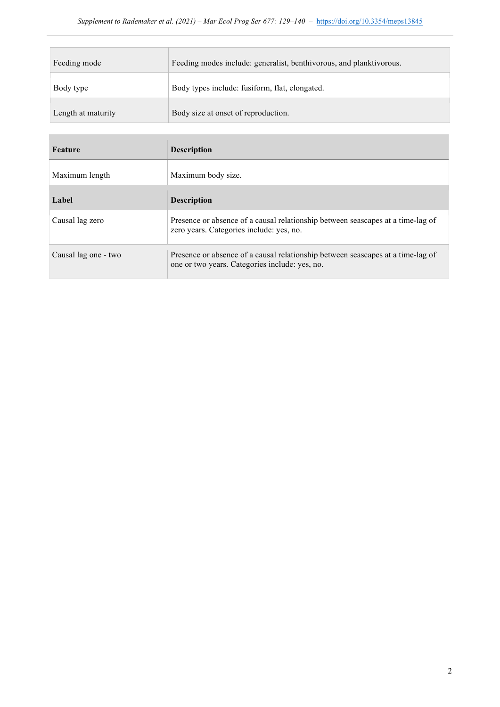| Feeding mode       | Feeding modes include: generalist, benthivorous, and planktivorous. |
|--------------------|---------------------------------------------------------------------|
| Body type          | Body types include: fusiform, flat, elongated.                      |
| Length at maturity | Body size at onset of reproduction.                                 |

| <b>Feature</b>       | <b>Description</b>                                                                                                                |
|----------------------|-----------------------------------------------------------------------------------------------------------------------------------|
| Maximum length       | Maximum body size.                                                                                                                |
| Label                | <b>Description</b>                                                                                                                |
| Causal lag zero      | Presence or absence of a causal relationship between seascapes at a time-lag of<br>zero years. Categories include: yes, no.       |
| Causal lag one - two | Presence or absence of a causal relationship between seascapes at a time-lag of<br>one or two years. Categories include: yes, no. |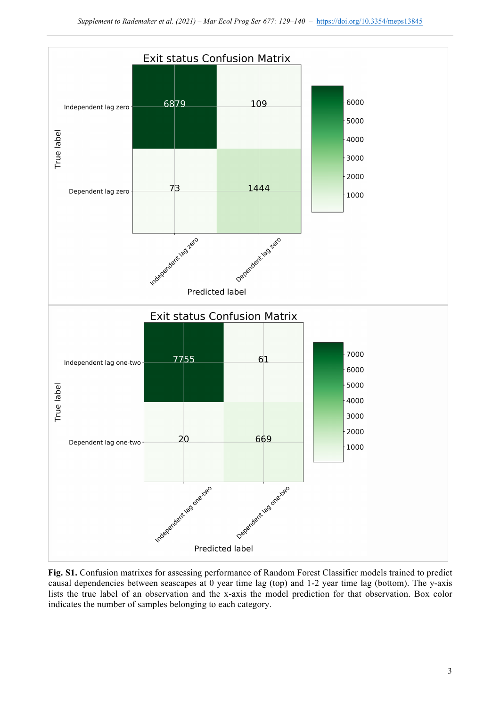

**Fig. S1.** Confusion matrixes for assessing performance of Random Forest Classifier models trained to predict causal dependencies between seascapes at 0 year time lag (top) and 1-2 year time lag (bottom). The y-axis lists the true label of an observation and the x-axis the model prediction for that observation. Box color indicates the number of samples belonging to each category.